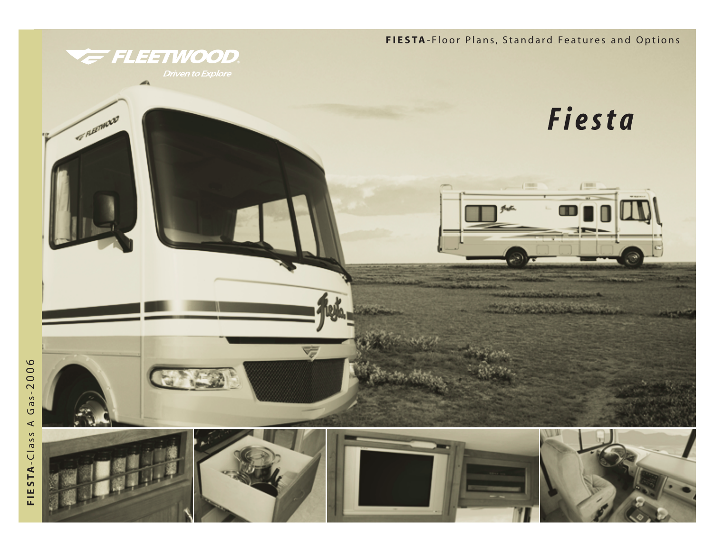

Gas-2006 **FIESTA** -Class A Gas- 2006 $\prec$ FIESTA-Class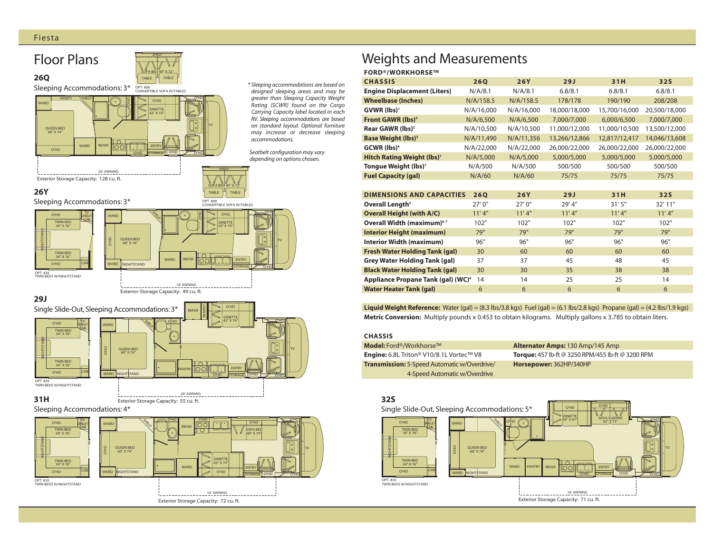## Fiesta



**31H**

Sleeping Accommodations: 4\*



Exterior Storage Capacity: 55 cu. ft.

# Weights and Measurements

## **FORD®/WORKHORSE™**

| <b>CHASSIS</b>                               | <b>260</b> | <b>26Y</b> | 29J           | 31H           | <b>32S</b>    |
|----------------------------------------------|------------|------------|---------------|---------------|---------------|
| <b>Engine Displacement (Liters)</b>          | N/A/8.1    | N/A/8.1    | 6.8/8.1       | 6.8/8.1       | 6.8/8.1       |
| <b>Wheelbase (Inches)</b>                    | N/A/158.5  | N/A/158.5  | 178/178       | 190/190       | 208/208       |
| GVWR (lbs) <sup>1</sup>                      | N/A/16,000 | N/A/16,000 | 18,000/18,000 | 15,700/16,000 | 20,500/18,000 |
| Front GAWR (lbs) <sup>2</sup>                | N/A/6,500  | N/A/6,500  | 7,000/7,000   | 6,000/6,500   | 7,000/7,000   |
| Rear GAWR (lbs) <sup>2</sup>                 | N/A/10,500 | N/A/10,500 | 11,000/12,000 | 11,000/10,500 | 13,500/12,000 |
| <b>Base Weight (lbs)<sup>3</sup></b>         | N/A/11,490 | N/A/11,356 | 13,266/12,866 | 12,817/12,417 | 14,046/13,608 |
| GCWR (lbs) <sup>4</sup>                      | N/A/22,000 | N/A/22,000 | 26,000/22,000 | 26,000/22,000 | 26,000/22,000 |
| <b>Hitch Rating Weight (lbs)<sup>+</sup></b> | N/A/5,000  | N/A/5,000  | 5,000/5,000   | 5,000/5,000   | 5,000/5,000   |
| Tongue Weight (lbs) <sup>+</sup>             | N/A/500    | N/A/500    | 500/500       | 500/500       | 500/500       |
| <b>Fuel Capacity (gal)</b>                   | N/A/60     | N/A/60     | 75/75         | 75/75         | 75/75         |
|                                              |            |            |               |               |               |
| <b>DIMENSIONS AND CAPACITIES</b>             | <b>260</b> | <b>26Y</b> | 29J           | 31H           | 32S           |
| Overall Length <sup>5</sup>                  | 27'0''     | 27'0''     | 29' 4"        | 31'5''        | 32' 11"       |

| Overall Length <sup>5</sup>                    | 27'0'' | 27'0'' | 29' 4" | 31'5'' | 32' 11" |
|------------------------------------------------|--------|--------|--------|--------|---------|
| <b>Overall Height (with A/C)</b>               | 11'4"  | 11'4"  | 11'4"  | 11'4"  | 11'4"   |
| Overall Width (maximum) <sup>6,7</sup>         | 102"   | 102"   | 102"   | 102"   | 102"    |
| <b>Interior Height (maximum)</b>               | 79"    | 79"    | 79"    | 79"    | 79"     |
| <b>Interior Width (maximum)</b>                | 96"    | 96"    | 96"    | 96"    | 96"     |
| <b>Fresh Water Holding Tank (gal)</b>          | 30     | 60     | 60     | 60     | 60      |
| <b>Grey Water Holding Tank (gal)</b>           | 37     | 37     | 45     | 48     | 45      |
| <b>Black Water Holding Tank (gal)</b>          | 30     | 30     | 35     | 38     | 38      |
| Appliance Propane Tank (gal) (WC) <sup>8</sup> | 14     | 14     | 25     | 25     | 14      |
| <b>Water Heater Tank (gal)</b>                 | 6      | 6      | 6      | 6      | 6       |
|                                                |        |        |        |        |         |

**Liquid Weight Reference:** Water (gal) = (8.3 lbs/3.8 kgs) Fuel (gal) = (6.1 lbs/2.8 kgs) Propane (gal) = (4.2 lbs/1.9 kgs) **Metric Conversion:** Multiply pounds x 0.453 to obtain kilograms. Multiply gallons x 3.785 to obtain liters.

## **CHASSIS**

| <b>Model:</b> Ford®/Workhorse™                      | Alternator Amps: 130 Amp/145 Amp              |
|-----------------------------------------------------|-----------------------------------------------|
| <b>Engine:</b> 6.8L Triton® V10/8.1L Vortec™ V8     | <b>Torque:</b> 457 lb-ft @ 3250 RPM/455 lb-ft |
| <b>Transmission:</b> 5-Speed Automatic w/Overdrive/ | Horsepower: 362HP/340HP                       |
| 4-Speed Automatic w/Overdrive                       |                                               |

**Engine:** 6.8L Triton® V10/8.1L Vortec™ V8 **Torque:** 457 lb-ft @ 3250 RPM/455 lb-ft @ 3200 RPM

## **32S**

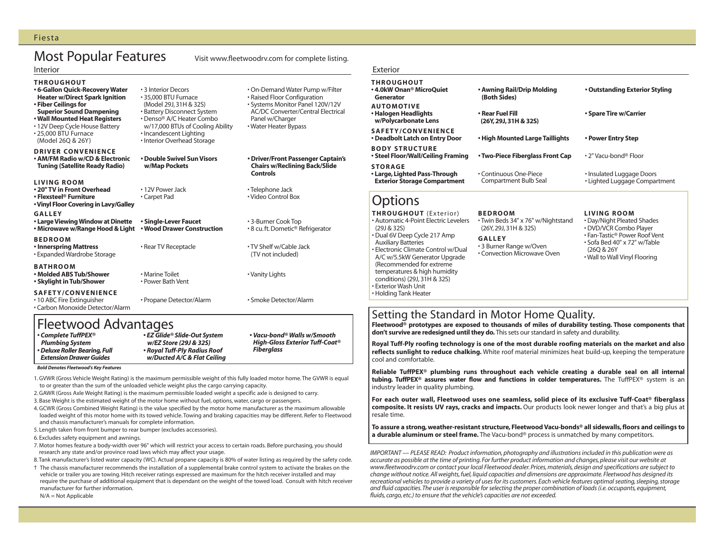### Fiesta

# Most Popular Features visit www.fleetwoodrv.com for complete listing.

#### Interior Exterior

| <b>THROUGHOUT</b><br>• 6-Gallon Quick-Recovery Water<br><b>Heater w/Direct Spark Ignition</b><br>• Fiber Ceilings for<br><b>Superior Sound Dampening</b><br>. Wall Mounted Heat Registers<br>• 12V Deep Cycle House Battery<br>• 25,000 BTU Furnace<br>(Model 260 & 26Y) | • 3 Interior Decors<br>• 35,000 BTU Furnace<br>(Model 29J, 31H & 32S)<br>• Battery Disconnect System<br>• Denso® A/C Heater Combo<br>w/17,000 BTUs of Cooling Ability<br>• Incandescent Lighting<br>• Interior Overhead Storage | • On-Demand Water Pump w/Filter<br>• Raised Floor Configuration<br>· Systems Monitor Panel 120V/12V<br><b>AC/DC Converter/Central Electrical</b><br>Panel w/Charger<br>• Water Heater Bypass |
|--------------------------------------------------------------------------------------------------------------------------------------------------------------------------------------------------------------------------------------------------------------------------|---------------------------------------------------------------------------------------------------------------------------------------------------------------------------------------------------------------------------------|----------------------------------------------------------------------------------------------------------------------------------------------------------------------------------------------|
| <b>DRIVER CONVENIENCE</b><br>• AM/FM Radio w/CD & Electronic<br><b>Tuning (Satellite Ready Radio)</b>                                                                                                                                                                    | • Double Swivel Sun Visors<br>w/Map Pockets                                                                                                                                                                                     | • Driver/Front Passenger Captain's<br><b>Chairs w/Reclining Back/Slide</b><br>Controls                                                                                                       |
| <b>LIVING ROOM</b><br>• 20" TV in Front Overhead<br>• Flexsteel® Furniture<br>• Vinyl Floor Covering in Lavy/Galley                                                                                                                                                      | .12V Power Jack<br>• Carpet Pad                                                                                                                                                                                                 | •Telephone Jack<br>• Video Control Box                                                                                                                                                       |
| <b>GALLEY</b><br>• Large Viewing Window at Dinette<br>• Microwave w/Range Hood & Light                                                                                                                                                                                   | • Single-Lever Faucet<br>. Wood Drawer Construction                                                                                                                                                                             | • 3-Burner Cook Top<br>• 8 cu. ft. Dometic <sup>®</sup> Refrigerator                                                                                                                         |
| <b>BEDROOM</b><br>• Innerspring Mattress<br>• Expanded Wardrobe Storage                                                                                                                                                                                                  | • Rear TV Receptacle                                                                                                                                                                                                            | •TV Shelf w/Cable Jack<br>(TV not included)                                                                                                                                                  |
| <b>BATHROOM</b><br>• Molded ABS Tub/Shower<br>• Skylight in Tub/Shower                                                                                                                                                                                                   | • Marine Toilet<br>• Power Bath Vent                                                                                                                                                                                            | • Vanity Lights                                                                                                                                                                              |
| <b>SAFETY/CONVENIENCE</b><br>• 10 ABC Fire Extinguisher<br>• Carbon Monoxide Detector/Alarm                                                                                                                                                                              | • Propane Detector/Alarm                                                                                                                                                                                                        | · Smoke Detector/Alarm                                                                                                                                                                       |

# Fleetwood Advantages

| $\cdot$ Complete TuffPEX®      | • EZ Glide® Slide-Out System | • Vacu-bond® Walls w/Smooth           |
|--------------------------------|------------------------------|---------------------------------------|
| <b>Plumbing System</b>         | w/EZ Store (29J & 32S)       | <b>High-Gloss Exterior Tuff-Coat®</b> |
| • Deluxe Roller Bearing, Full  | • Royal Tuff-Ply Radius Roof | <b>Fiberalass</b>                     |
| <b>Extension Drawer Guides</b> | w/Ducted A/C & Flat Ceiling  |                                       |

*Bold Denotes Fleetwood's Key Features*

- 1. GVWR (Gross Vehicle Weight Rating) is the maximum permissible weight of this fully loaded motor home. The GVWR is equal to or greater than the sum of the unloaded vehicle weight plus the cargo carrying capacity.
- 2. GAWR (Gross Axle Weight Rating) is the maximum permissible loaded weight a specific axle is designed to carry.
- 3. Base Weight is the estimated weight of the motor home without fuel, options, water, cargo or passengers.
- 4. GCWR (Gross Combined Weight Rating) is the value specified by the motor home manufacturer as the maximum allowable loaded weight of this motor home with its towed vehicle. Towing and braking capacities may be different. Refer to Fleetwood and chassis manufacturer's manuals for complete information.
- 5. Length taken from front bumper to rear bumper (excludes accessories).
- 6. Excludes safety equipment and awnings.
- 7. Motor homes feature a body-width over 96" which will restrict your access to certain roads. Before purchasing, you should research any state and/or province road laws which may affect your usage.

8. Tank manufacturer's listed water capacity (WC). Actual propane capacity is 80% of water listing as required by the safety code.

† The chassis manufacturer recommends the installation of a supplemental brake control system to activate the brakes on the vehicle or trailer you are towing. Hitch receiver ratings expressed are maximum for the hitch receiver installed and may require the purchase of additional equipment that is dependant on the weight of the towed load. Consult with hitch receiver manufacturer for further information.

N/A = Not Applicable

| <b>THROUGHOUT</b><br>• 4.0kW Onan® MicroQuiet<br>Generator                             | • Awning Rail/Drip Molding<br>(Both Sides)      | • Outstanding Exterior Styling                             |
|----------------------------------------------------------------------------------------|-------------------------------------------------|------------------------------------------------------------|
| <b>AUTOMOTIVE</b><br>• Halogen Headlights<br>w/Polycarbonate Lens                      | • Rear Fuel Fill<br>(26Y, 29J, 31H & 32S)       | • Spare Tire w/Carrier                                     |
| <b>SAFETY/CONVENIENCE</b><br>• Deadbolt Latch on Entry Door                            | • High Mounted Large Taillights                 | • Power Entry Step                                         |
| <b>BODY STRUCTURE</b><br>• Steel Floor/Wall/Ceiling Framing                            | • Two-Piece Fiberglass Front Cap                | • 2" Vacu-bond® Floor                                      |
| <b>STORAGE</b><br>• Large, Lighted Pass-Through<br><b>Exterior Storage Compartment</b> | • Continuous One-Piece<br>Compartment Bulb Seal | • Insulated Luggage Doors<br>• Lighted Luggage Compartment |
| $\sim$                                                                                 |                                                 |                                                            |

# **Options**

- **THROUGHOUT** (Exterior)
- Automatic 4-Point Electric Levelers (29J & 32S) • Dual 6V Deep Cycle 217 Amp Auxiliary Batteries
- Electronic Climate Control w/Dual A/C w/5.5kW Generator Upgrade (Recommended for extreme temperatures & high humidity conditions) (29J, 31H & 32S) • Exterior Wash Unit • Holding Tank Heater

#### **LIVING ROOM**

- Day/Night Pleated Shades
- DVD/VCR Combo Player • Fan-Tastic® Power Roof Vent
- Sofa Bed 40" x 72" w/Table
- (26Q & 26Y
- Wall to Wall Vinyl Flooring

## Setting the Standard in Motor Home Quality.

**BEDROOM**

**GALLEY**

(26Y, 29J, 31H & 32S)

• 3 Burner Range w/Oven • Convection Microwave Oven

**Fleetwood® prototypes are exposed to thousands of miles of durability testing. Those components that don't survive are redesigned until they do.** This sets our standard in safety and durability.

• Twin Beds 34" x 76" w/Nightstand

**Royal Tuff-Ply roofing technology is one of the most durable roofing materials on the market and also reflects sunlight to reduce chalking.** White roof material minimizes heat build-up, keeping the temperature cool and comfortable.

**Reliable TuffPEX® plumbing runs throughout each vehicle creating a durable seal on all internal tubing. TuffPEX® assures water flow and functions in colder temperatures.** The TuffPEX® system is an industry leader in quality plumbing.

**For each outer wall, Fleetwood uses one seamless, solid piece of its exclusive Tuff-Coat® fiberglass composite. It resists UV rays, cracks and impacts.** Our products look newer longer and that's a big plus at resale time.

**To assure a strong, weather-resistant structure, Fleetwood Vacu-bonds® all sidewalls, floors and ceilings to a durable aluminum or steel frame.** The Vacu-bond® process is unmatched by many competitors.

*IMPORTANT — PLEASE READ: Product information, photography and illustrations included in this publication were as accurate as possible at the time of printing. For further product information and changes, please visit our website at www.fleetwoodrv.com or contact your local Fleetwood dealer. Prices, materials, design and specifications are subject to change without notice. All weights, fuel, liquid capacities and dimensions are approximate. Fleetwood has designed its recreational vehicles to provide a variety of uses for its customers. Each vehicle features optimal seating, sleeping, storage and fluid capacities.The user is responsible for selecting the proper combination of loads (i.e. occupants, equipment, fluids, cargo, etc.) to ensure that the vehicle's capacities are not exceeded.*